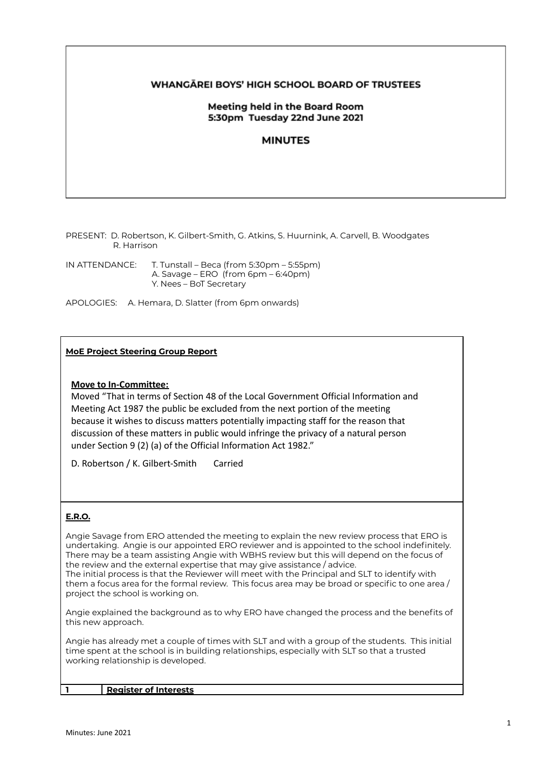## **WHANGAREI BOYS' HIGH SCHOOL BOARD OF TRUSTEES**

## Meeting held in the Board Room 5:30pm Tuesday 22nd June 2021

# **MINUTES**

PRESENT: D. Robertson, K. Gilbert-Smith, G. Atkins, S. Huurnink, A. Carvell, B. Woodgates R. Harrison

IN ATTENDANCE: T. Tunstall – Beca (from 5:30pm – 5:55pm) A. Savage – ERO (from 6pm – 6:40pm) Y. Nees – BoT Secretary

APOLOGIES: A. Hemara, D. Slatter (from 6pm onwards)

#### **MoE Project Steering Group Report**

#### **Move to In-Committee:**

Moved "That in terms of Section 48 of the Local Government Official Information and Meeting Act 1987 the public be excluded from the next portion of the meeting because it wishes to discuss matters potentially impacting staff for the reason that discussion of these matters in public would infringe the privacy of a natural person under Section 9 (2) (a) of the Official Information Act 1982."

D. Robertson / K. Gilbert-Smith Carried

## **E.R.O.**

Angie Savage from ERO attended the meeting to explain the new review process that ERO is undertaking. Angie is our appointed ERO reviewer and is appointed to the school indefinitely. There may be a team assisting Angie with WBHS review but this will depend on the focus of the review and the external expertise that may give assistance / advice. The initial process is that the Reviewer will meet with the Principal and SLT to identify with them a focus area for the formal review. This focus area may be broad or specific to one area / project the school is working on.

Angie explained the background as to why ERO have changed the process and the benefits of this new approach.

Angie has already met a couple of times with SLT and with a group of the students. This initial time spent at the school is in building relationships, especially with SLT so that a trusted working relationship is developed.

**1 Register of Interests**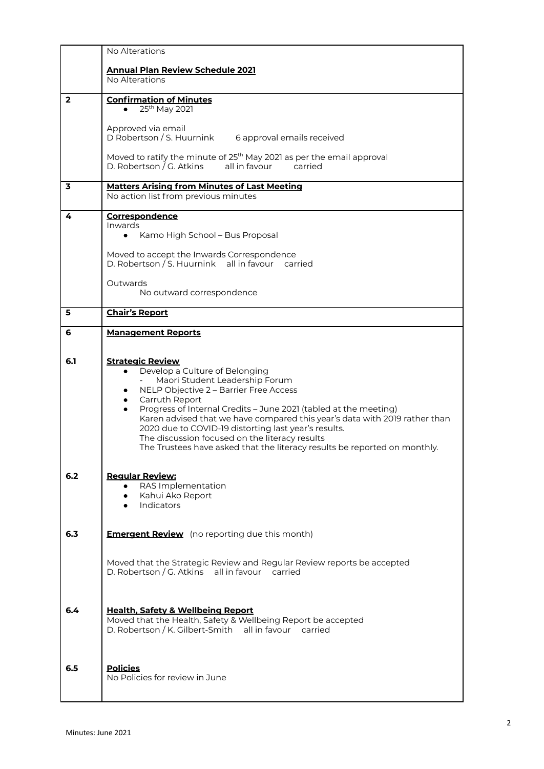|                | No Alterations                                                                                                                                                                                                                                                                                                                                                                                                                                                                                                                                       |
|----------------|------------------------------------------------------------------------------------------------------------------------------------------------------------------------------------------------------------------------------------------------------------------------------------------------------------------------------------------------------------------------------------------------------------------------------------------------------------------------------------------------------------------------------------------------------|
|                | <b>Annual Plan Review Schedule 2021</b><br>No Alterations                                                                                                                                                                                                                                                                                                                                                                                                                                                                                            |
| $\overline{2}$ | <b>Confirmation of Minutes</b><br>25 <sup>th</sup> May 2021                                                                                                                                                                                                                                                                                                                                                                                                                                                                                          |
|                | Approved via email<br>D Robertson / S. Huurnink<br>6 approval emails received<br>Moved to ratify the minute of 25 <sup>th</sup> May 2021 as per the email approval<br>D. Robertson / G. Atkins<br>all in favour<br>carried                                                                                                                                                                                                                                                                                                                           |
| 3              | <b>Matters Arising from Minutes of Last Meeting</b>                                                                                                                                                                                                                                                                                                                                                                                                                                                                                                  |
|                | No action list from previous minutes                                                                                                                                                                                                                                                                                                                                                                                                                                                                                                                 |
| 4              | Correspondence<br>Inwards<br>Kamo High School – Bus Proposal<br>$\bullet$<br>Moved to accept the Inwards Correspondence                                                                                                                                                                                                                                                                                                                                                                                                                              |
|                | D. Robertson / S. Huurnink all in favour carried                                                                                                                                                                                                                                                                                                                                                                                                                                                                                                     |
|                | Outwards<br>No outward correspondence                                                                                                                                                                                                                                                                                                                                                                                                                                                                                                                |
| 5              | <b>Chair's Report</b>                                                                                                                                                                                                                                                                                                                                                                                                                                                                                                                                |
| 6              | <b>Management Reports</b>                                                                                                                                                                                                                                                                                                                                                                                                                                                                                                                            |
| 6.1            | <b>Strategic Review</b><br>Develop a Culture of Belonging<br>$\bullet$<br>Maori Student Leadership Forum<br>NELP Objective 2 - Barrier Free Access<br>$\bullet$<br>Carruth Report<br>$\bullet$<br>Progress of Internal Credits - June 2021 (tabled at the meeting)<br>$\bullet$<br>Karen advised that we have compared this year's data with 2019 rather than<br>2020 due to COVID-19 distorting last year's results.<br>The discussion focused on the literacy results<br>The Trustees have asked that the literacy results be reported on monthly. |
| 6.2            | <b>Regular Review:</b><br>RAS Implementation<br>$\bullet$<br>Kahui Ako Report<br>$\bullet$<br>Indicators                                                                                                                                                                                                                                                                                                                                                                                                                                             |
| 6.3            | <b>Emergent Review</b> (no reporting due this month)                                                                                                                                                                                                                                                                                                                                                                                                                                                                                                 |
|                | Moved that the Strategic Review and Regular Review reports be accepted<br>D. Robertson / G. Atkins all in favour carried                                                                                                                                                                                                                                                                                                                                                                                                                             |
| 6.4            | <b>Health, Safety &amp; Wellbeing Report</b><br>Moved that the Health, Safety & Wellbeing Report be accepted<br>D. Robertson / K. Gilbert-Smith all in favour carried                                                                                                                                                                                                                                                                                                                                                                                |
| 6.5            | <b>Policies</b><br>No Policies for review in June                                                                                                                                                                                                                                                                                                                                                                                                                                                                                                    |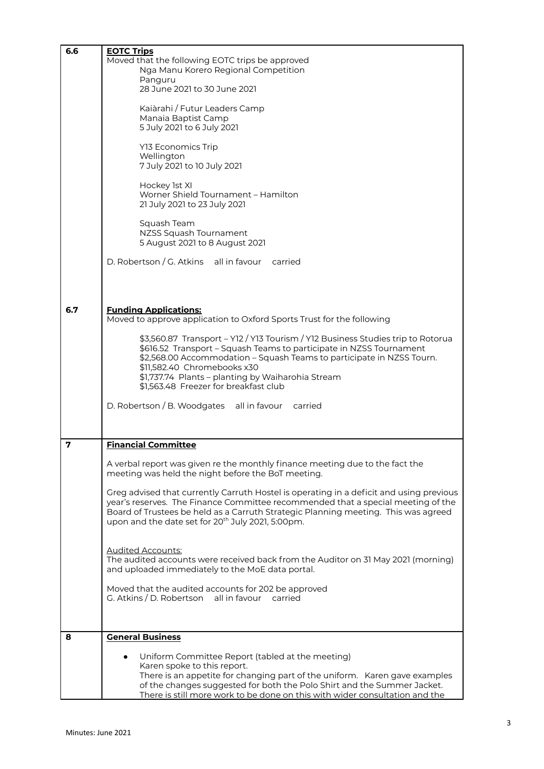| 6.6 | <b>EOTC Trips</b>                                                                       |
|-----|-----------------------------------------------------------------------------------------|
|     | Moved that the following EOTC trips be approved                                         |
|     | Nga Manu Korero Regional Competition                                                    |
|     | Panguru                                                                                 |
|     | 28 June 2021 to 30 June 2021                                                            |
|     |                                                                                         |
|     | Kaiàrahi / Futur Leaders Camp                                                           |
|     | Manaia Baptist Camp                                                                     |
|     | 5 July 2021 to 6 July 2021                                                              |
|     | Y13 Economics Trip                                                                      |
|     | Wellington                                                                              |
|     | 7 July 2021 to 10 July 2021                                                             |
|     |                                                                                         |
|     | Hockey 1st XI                                                                           |
|     | Worner Shield Tournament - Hamilton                                                     |
|     | 21 July 2021 to 23 July 2021                                                            |
|     |                                                                                         |
|     | Squash Team                                                                             |
|     | NZSS Squash Tournament                                                                  |
|     | 5 August 2021 to 8 August 2021                                                          |
|     |                                                                                         |
|     | D. Robertson / G. Atkins all in favour carried                                          |
|     |                                                                                         |
|     |                                                                                         |
|     |                                                                                         |
| 6.7 | <b>Funding Applications:</b>                                                            |
|     | Moved to approve application to Oxford Sports Trust for the following                   |
|     |                                                                                         |
|     | \$3,560.87 Transport - Y12 / Y13 Tourism / Y12 Business Studies trip to Rotorua         |
|     | \$616.52 Transport - Squash Teams to participate in NZSS Tournament                     |
|     | \$2,568.00 Accommodation - Squash Teams to participate in NZSS Tourn.                   |
|     | \$11,582.40 Chromebooks x30                                                             |
|     | \$1,737.74 Plants - planting by Waiharohia Stream                                       |
|     | \$1,563.48 Freezer for breakfast club                                                   |
|     | D. Robertson / B. Woodgates all in favour<br>carried                                    |
|     |                                                                                         |
|     |                                                                                         |
|     |                                                                                         |
| 7   | <b>Financial Committee</b>                                                              |
|     | A verbal report was given re the monthly finance meeting due to the fact the            |
|     | meeting was held the night before the BoT meeting.                                      |
|     |                                                                                         |
|     | Greg advised that currently Carruth Hostel is operating in a deficit and using previous |
|     | year's reserves. The Finance Committee recommended that a special meeting of the        |
|     | Board of Trustees be held as a Carruth Strategic Planning meeting. This was agreed      |
|     | upon and the date set for 20 <sup>th</sup> July 2021, 5:00pm.                           |
|     |                                                                                         |
|     |                                                                                         |
|     | <b>Audited Accounts:</b>                                                                |
|     | The audited accounts were received back from the Auditor on 31 May 2021 (morning)       |
|     | and uploaded immediately to the MoE data portal.                                        |
|     | Moved that the audited accounts for 202 be approved                                     |
|     | G. Atkins / D. Robertson all in favour carried                                          |
|     |                                                                                         |
|     |                                                                                         |
|     |                                                                                         |
| 8   | <b>General Business</b>                                                                 |
|     | Uniform Committee Report (tabled at the meeting)                                        |
|     | Karen spoke to this report.                                                             |
|     | There is an appetite for changing part of the uniform. Karen gave examples              |
|     | of the changes suggested for both the Polo Shirt and the Summer Jacket.                 |
|     | There is still more work to be done on this with wider consultation and the             |